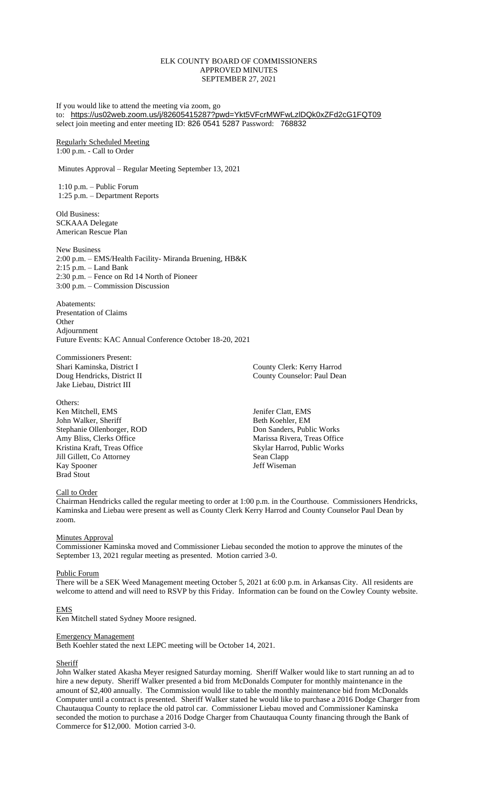## ELK COUNTY BOARD OF COMMISSIONERS APPROVED MINUTES SEPTEMBER 27, 2021

If you would like to attend the meeting via zoom, go to: <https://us02web.zoom.us/j/82605415287?pwd=Ykt5VFcrMWFwLzlDQk0xZFd2cG1FQT09> select join meeting and enter meeting ID: 826 0541 5287 Password: 768832

Regularly Scheduled Meeting 1:00 p.m. - Call to Order

Minutes Approval – Regular Meeting September 13, 2021

1:10 p.m. – Public Forum 1:25 p.m. – Department Reports

Old Business: SCKAAA Delegate American Rescue Plan

New Business 2:00 p.m. – EMS/Health Facility- Miranda Bruening, HB&K 2:15 p.m. – Land Bank 2:30 p.m. – Fence on Rd 14 North of Pioneer 3:00 p.m. – Commission Discussion

Abatements: Presentation of Claims **Other** Adjournment Future Events: KAC Annual Conference October 18-20, 2021

Commissioners Present: Jake Liebau, District III

Others: Ken Mitchell, EMS Jenifer Clatt, EMS John Walker, Sheriff Beth Koehler, EM Stephanie Ollenborger, ROD Don Sanders, Public Works Amy Bliss, Clerks Office Marissa Rivera, Treas Office Kristina Kraft, Treas Office Skylar Harrod, Public Works Jill Gillett, Co Attorney Sean Clapp Kay Spooner Jeff Wiseman Brad Stout

Shari Kaminska, District I County Clerk: Kerry Harrod Doug Hendricks, District II County Counselor: Paul Dean

# Call to Order

Chairman Hendricks called the regular meeting to order at 1:00 p.m. in the Courthouse. Commissioners Hendricks, Kaminska and Liebau were present as well as County Clerk Kerry Harrod and County Counselor Paul Dean by zoom.

# **Minutes Approval**

Commissioner Kaminska moved and Commissioner Liebau seconded the motion to approve the minutes of the September 13, 2021 regular meeting as presented. Motion carried 3-0.

# Public Forum

There will be a SEK Weed Management meeting October 5, 2021 at 6:00 p.m. in Arkansas City. All residents are welcome to attend and will need to RSVP by this Friday. Information can be found on the Cowley County website.

# EMS

Ken Mitchell stated Sydney Moore resigned.

# Emergency Management

Beth Koehler stated the next LEPC meeting will be October 14, 2021.

# **Sheriff**

John Walker stated Akasha Meyer resigned Saturday morning. Sheriff Walker would like to start running an ad to hire a new deputy. Sheriff Walker presented a bid from McDonalds Computer for monthly maintenance in the amount of \$2,400 annually. The Commission would like to table the monthly maintenance bid from McDonalds Computer until a contract is presented. Sheriff Walker stated he would like to purchase a 2016 Dodge Charger from Chautauqua County to replace the old patrol car. Commissioner Liebau moved and Commissioner Kaminska seconded the motion to purchase a 2016 Dodge Charger from Chautauqua County financing through the Bank of Commerce for \$12,000. Motion carried 3-0.